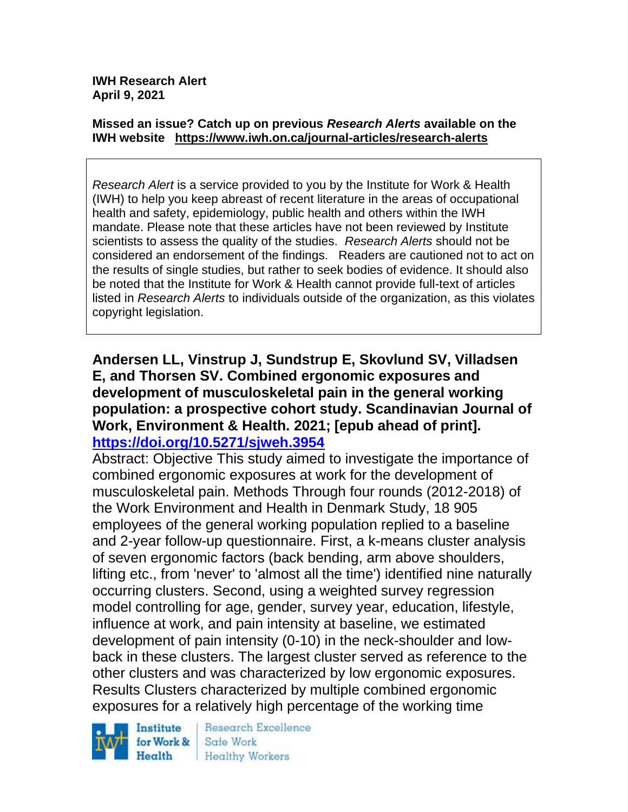#### **Missed an issue? Catch up on previous** *Research Alerts* **available on the [IWH website](http://www.iwh.on.ca/research-alerts) <https://www.iwh.on.ca/journal-articles/research-alerts>**

*Research Alert* is a service provided to you by the Institute for Work & Health (IWH) to help you keep abreast of recent literature in the areas of occupational health and safety, epidemiology, public health and others within the IWH mandate. Please note that these articles have not been reviewed by Institute scientists to assess the quality of the studies. *Research Alerts* should not be considered an endorsement of the findings. Readers are cautioned not to act on the results of single studies, but rather to seek bodies of evidence. It should also be noted that the Institute for Work & Health cannot provide full-text of articles listed in *Research Alerts* to individuals outside of the organization, as this violates copyright legislation.

## **Andersen LL, Vinstrup J, Sundstrup E, Skovlund SV, Villadsen E, and Thorsen SV. Combined ergonomic exposures and development of musculoskeletal pain in the general working population: a prospective cohort study. Scandinavian Journal of Work, Environment & Health. 2021; [epub ahead of print]. <https://doi.org/10.5271/sjweh.3954>**

Abstract: Objective This study aimed to investigate the importance of combined ergonomic exposures at work for the development of musculoskeletal pain. Methods Through four rounds (2012-2018) of the Work Environment and Health in Denmark Study, 18 905 employees of the general working population replied to a baseline and 2-year follow-up questionnaire. First, a k-means cluster analysis of seven ergonomic factors (back bending, arm above shoulders, lifting etc., from 'never' to 'almost all the time') identified nine naturally occurring clusters. Second, using a weighted survey regression model controlling for age, gender, survey year, education, lifestyle, influence at work, and pain intensity at baseline, we estimated development of pain intensity (0-10) in the neck-shoulder and lowback in these clusters. The largest cluster served as reference to the other clusters and was characterized by low ergonomic exposures. Results Clusters characterized by multiple combined ergonomic exposures for a relatively high percentage of the working time



Research Excellence Safe Work **Healthy Workers**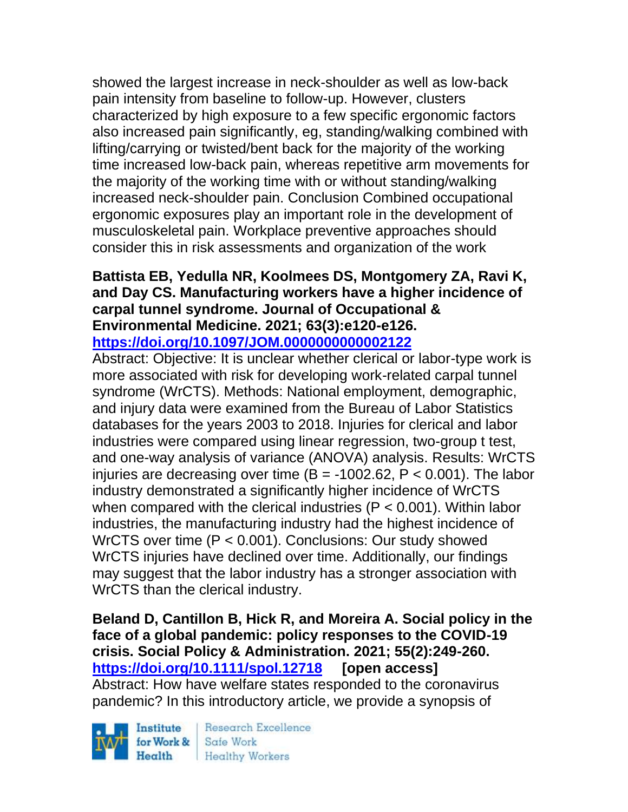showed the largest increase in neck-shoulder as well as low-back pain intensity from baseline to follow-up. However, clusters characterized by high exposure to a few specific ergonomic factors also increased pain significantly, eg, standing/walking combined with lifting/carrying or twisted/bent back for the majority of the working time increased low-back pain, whereas repetitive arm movements for the majority of the working time with or without standing/walking increased neck-shoulder pain. Conclusion Combined occupational ergonomic exposures play an important role in the development of musculoskeletal pain. Workplace preventive approaches should consider this in risk assessments and organization of the work

### **Battista EB, Yedulla NR, Koolmees DS, Montgomery ZA, Ravi K, and Day CS. Manufacturing workers have a higher incidence of carpal tunnel syndrome. Journal of Occupational & Environmental Medicine. 2021; 63(3):e120-e126. <https://doi.org/10.1097/JOM.0000000000002122>**

Abstract: Objective: It is unclear whether clerical or labor-type work is more associated with risk for developing work-related carpal tunnel syndrome (WrCTS). Methods: National employment, demographic, and injury data were examined from the Bureau of Labor Statistics databases for the years 2003 to 2018. Injuries for clerical and labor industries were compared using linear regression, two-group t test, and one-way analysis of variance (ANOVA) analysis. Results: WrCTS injuries are decreasing over time  $(B = -1002.62, P < 0.001)$ . The labor industry demonstrated a significantly higher incidence of WrCTS when compared with the clerical industries ( $P < 0.001$ ). Within labor industries, the manufacturing industry had the highest incidence of WrCTS over time (P < 0.001). Conclusions: Our study showed WrCTS injuries have declined over time. Additionally, our findings may suggest that the labor industry has a stronger association with WrCTS than the clerical industry.

**Beland D, Cantillon B, Hick R, and Moreira A. Social policy in the face of a global pandemic: policy responses to the COVID-19 crisis. Social Policy & Administration. 2021; 55(2):249-260. <https://doi.org/10.1111/spol.12718> [open access]** Abstract: How have welfare states responded to the coronavirus pandemic? In this introductory article, we provide a synopsis of

Institute Health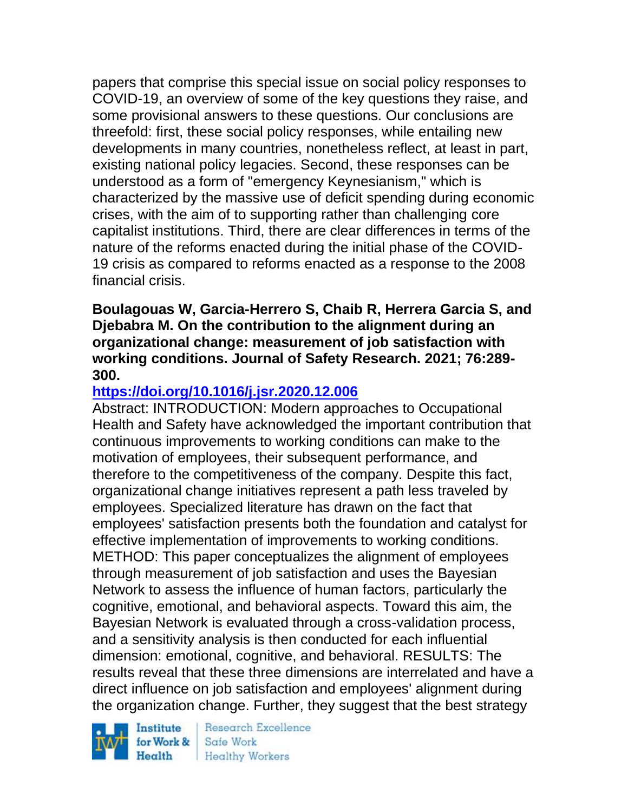papers that comprise this special issue on social policy responses to COVID-19, an overview of some of the key questions they raise, and some provisional answers to these questions. Our conclusions are threefold: first, these social policy responses, while entailing new developments in many countries, nonetheless reflect, at least in part, existing national policy legacies. Second, these responses can be understood as a form of "emergency Keynesianism," which is characterized by the massive use of deficit spending during economic crises, with the aim of to supporting rather than challenging core capitalist institutions. Third, there are clear differences in terms of the nature of the reforms enacted during the initial phase of the COVID-19 crisis as compared to reforms enacted as a response to the 2008 financial crisis.

### **Boulagouas W, Garcia-Herrero S, Chaib R, Herrera Garcia S, and Djebabra M. On the contribution to the alignment during an organizational change: measurement of job satisfaction with working conditions. Journal of Safety Research. 2021; 76:289- 300.**

# **<https://doi.org/10.1016/j.jsr.2020.12.006>**

Abstract: INTRODUCTION: Modern approaches to Occupational Health and Safety have acknowledged the important contribution that continuous improvements to working conditions can make to the motivation of employees, their subsequent performance, and therefore to the competitiveness of the company. Despite this fact, organizational change initiatives represent a path less traveled by employees. Specialized literature has drawn on the fact that employees' satisfaction presents both the foundation and catalyst for effective implementation of improvements to working conditions. METHOD: This paper conceptualizes the alignment of employees through measurement of job satisfaction and uses the Bayesian Network to assess the influence of human factors, particularly the cognitive, emotional, and behavioral aspects. Toward this aim, the Bayesian Network is evaluated through a cross-validation process, and a sensitivity analysis is then conducted for each influential dimension: emotional, cognitive, and behavioral. RESULTS: The results reveal that these three dimensions are interrelated and have a direct influence on job satisfaction and employees' alignment during the organization change. Further, they suggest that the best strategy

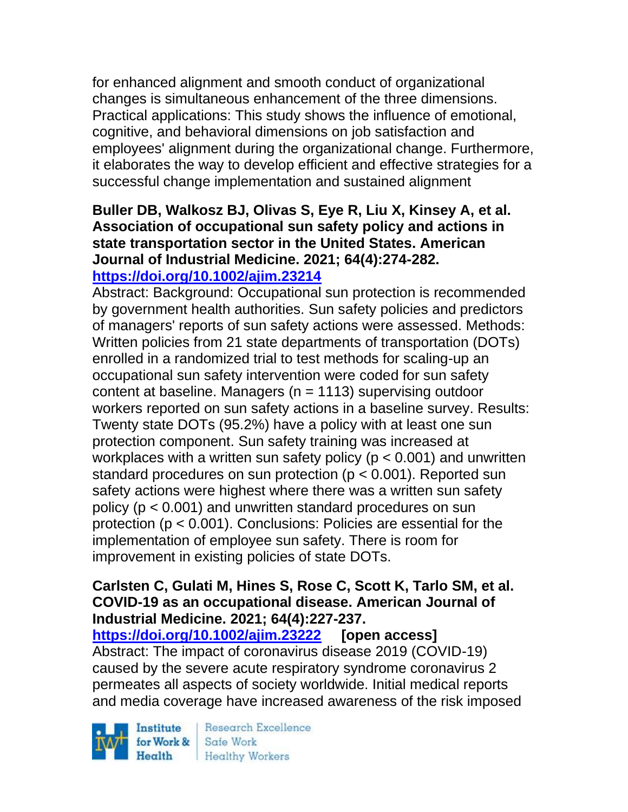for enhanced alignment and smooth conduct of organizational changes is simultaneous enhancement of the three dimensions. Practical applications: This study shows the influence of emotional, cognitive, and behavioral dimensions on job satisfaction and employees' alignment during the organizational change. Furthermore, it elaborates the way to develop efficient and effective strategies for a successful change implementation and sustained alignment

#### **Buller DB, Walkosz BJ, Olivas S, Eye R, Liu X, Kinsey A, et al. Association of occupational sun safety policy and actions in state transportation sector in the United States. American Journal of Industrial Medicine. 2021; 64(4):274-282. <https://doi.org/10.1002/ajim.23214>**

Abstract: Background: Occupational sun protection is recommended by government health authorities. Sun safety policies and predictors of managers' reports of sun safety actions were assessed. Methods: Written policies from 21 state departments of transportation (DOTs) enrolled in a randomized trial to test methods for scaling-up an occupational sun safety intervention were coded for sun safety content at baseline. Managers ( $n = 1113$ ) supervising outdoor workers reported on sun safety actions in a baseline survey. Results: Twenty state DOTs (95.2%) have a policy with at least one sun protection component. Sun safety training was increased at workplaces with a written sun safety policy ( $p < 0.001$ ) and unwritten standard procedures on sun protection ( $p < 0.001$ ). Reported sun safety actions were highest where there was a written sun safety policy (p < 0.001) and unwritten standard procedures on sun protection (p < 0.001). Conclusions: Policies are essential for the implementation of employee sun safety. There is room for improvement in existing policies of state DOTs.

## **Carlsten C, Gulati M, Hines S, Rose C, Scott K, Tarlo SM, et al. COVID-19 as an occupational disease. American Journal of Industrial Medicine. 2021; 64(4):227-237.**

**<https://doi.org/10.1002/ajim.23222> [open access]** Abstract: The impact of coronavirus disease 2019 (COVID-19) caused by the severe acute respiratory syndrome coronavirus 2 permeates all aspects of society worldwide. Initial medical reports and media coverage have increased awareness of the risk imposed

Institute Health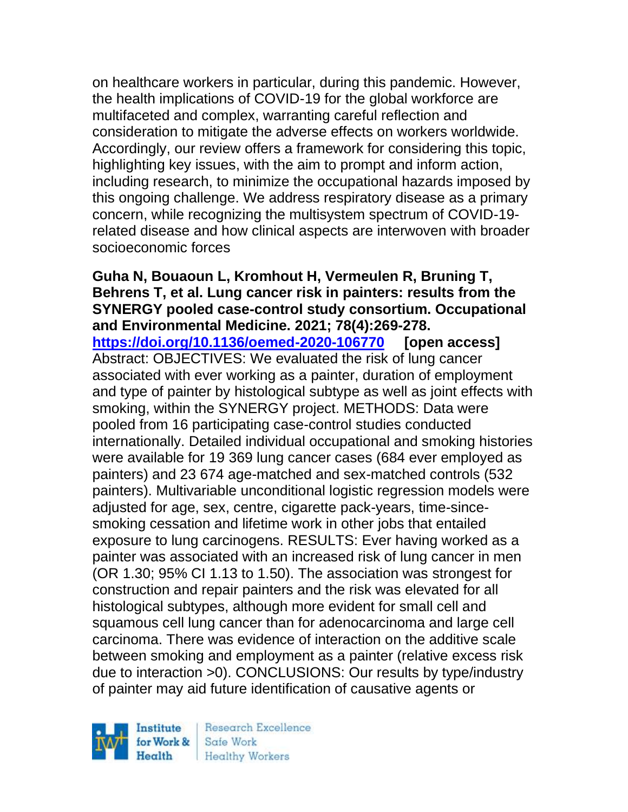on healthcare workers in particular, during this pandemic. However, the health implications of COVID-19 for the global workforce are multifaceted and complex, warranting careful reflection and consideration to mitigate the adverse effects on workers worldwide. Accordingly, our review offers a framework for considering this topic, highlighting key issues, with the aim to prompt and inform action, including research, to minimize the occupational hazards imposed by this ongoing challenge. We address respiratory disease as a primary concern, while recognizing the multisystem spectrum of COVID-19 related disease and how clinical aspects are interwoven with broader socioeconomic forces

**Guha N, Bouaoun L, Kromhout H, Vermeulen R, Bruning T, Behrens T, et al. Lung cancer risk in painters: results from the SYNERGY pooled case-control study consortium. Occupational and Environmental Medicine. 2021; 78(4):269-278. <https://doi.org/10.1136/oemed-2020-106770> [open access]** Abstract: OBJECTIVES: We evaluated the risk of lung cancer associated with ever working as a painter, duration of employment and type of painter by histological subtype as well as joint effects with smoking, within the SYNERGY project. METHODS: Data were pooled from 16 participating case-control studies conducted internationally. Detailed individual occupational and smoking histories were available for 19 369 lung cancer cases (684 ever employed as painters) and 23 674 age-matched and sex-matched controls (532 painters). Multivariable unconditional logistic regression models were adjusted for age, sex, centre, cigarette pack-years, time-sincesmoking cessation and lifetime work in other jobs that entailed exposure to lung carcinogens. RESULTS: Ever having worked as a painter was associated with an increased risk of lung cancer in men (OR 1.30; 95% CI 1.13 to 1.50). The association was strongest for construction and repair painters and the risk was elevated for all histological subtypes, although more evident for small cell and squamous cell lung cancer than for adenocarcinoma and large cell carcinoma. There was evidence of interaction on the additive scale between smoking and employment as a painter (relative excess risk due to interaction >0). CONCLUSIONS: Our results by type/industry of painter may aid future identification of causative agents or

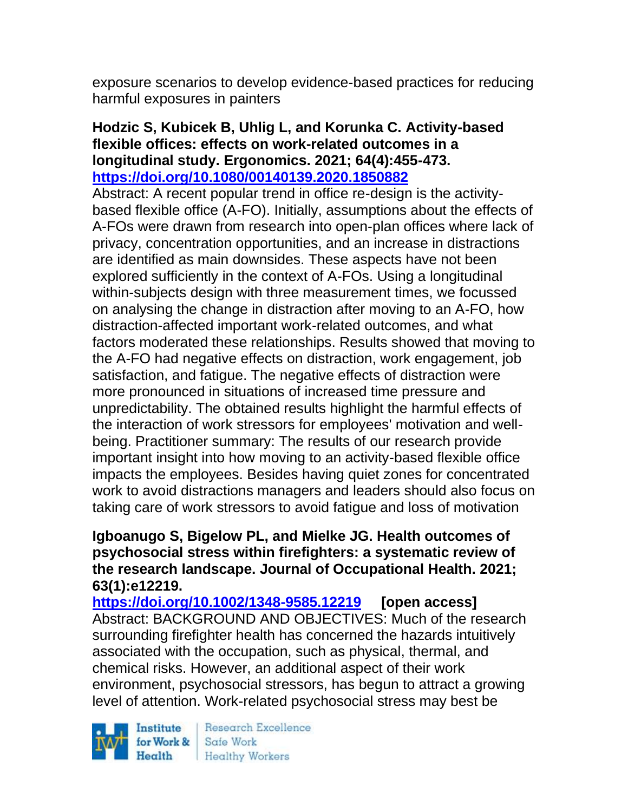exposure scenarios to develop evidence-based practices for reducing harmful exposures in painters

### **Hodzic S, Kubicek B, Uhlig L, and Korunka C. Activity-based flexible offices: effects on work-related outcomes in a longitudinal study. Ergonomics. 2021; 64(4):455-473. <https://doi.org/10.1080/00140139.2020.1850882>**

Abstract: A recent popular trend in office re-design is the activitybased flexible office (A-FO). Initially, assumptions about the effects of A-FOs were drawn from research into open-plan offices where lack of privacy, concentration opportunities, and an increase in distractions are identified as main downsides. These aspects have not been explored sufficiently in the context of A-FOs. Using a longitudinal within-subjects design with three measurement times, we focussed on analysing the change in distraction after moving to an A-FO, how distraction-affected important work-related outcomes, and what factors moderated these relationships. Results showed that moving to the A-FO had negative effects on distraction, work engagement, job satisfaction, and fatigue. The negative effects of distraction were more pronounced in situations of increased time pressure and unpredictability. The obtained results highlight the harmful effects of the interaction of work stressors for employees' motivation and wellbeing. Practitioner summary: The results of our research provide important insight into how moving to an activity-based flexible office impacts the employees. Besides having quiet zones for concentrated work to avoid distractions managers and leaders should also focus on taking care of work stressors to avoid fatigue and loss of motivation

## **Igboanugo S, Bigelow PL, and Mielke JG. Health outcomes of psychosocial stress within firefighters: a systematic review of the research landscape. Journal of Occupational Health. 2021; 63(1):e12219.**

**<https://doi.org/10.1002/1348-9585.12219> [open access]** Abstract: BACKGROUND AND OBJECTIVES: Much of the research surrounding firefighter health has concerned the hazards intuitively associated with the occupation, such as physical, thermal, and chemical risks. However, an additional aspect of their work environment, psychosocial stressors, has begun to attract a growing level of attention. Work-related psychosocial stress may best be

Institute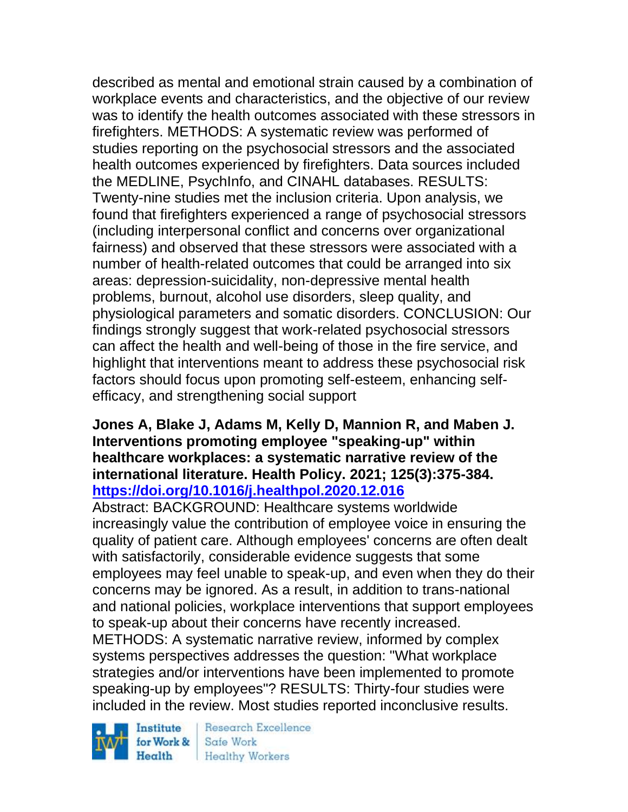described as mental and emotional strain caused by a combination of workplace events and characteristics, and the objective of our review was to identify the health outcomes associated with these stressors in firefighters. METHODS: A systematic review was performed of studies reporting on the psychosocial stressors and the associated health outcomes experienced by firefighters. Data sources included the MEDLINE, PsychInfo, and CINAHL databases. RESULTS: Twenty-nine studies met the inclusion criteria. Upon analysis, we found that firefighters experienced a range of psychosocial stressors (including interpersonal conflict and concerns over organizational fairness) and observed that these stressors were associated with a number of health-related outcomes that could be arranged into six areas: depression-suicidality, non-depressive mental health problems, burnout, alcohol use disorders, sleep quality, and physiological parameters and somatic disorders. CONCLUSION: Our findings strongly suggest that work-related psychosocial stressors can affect the health and well-being of those in the fire service, and highlight that interventions meant to address these psychosocial risk factors should focus upon promoting self-esteem, enhancing selfefficacy, and strengthening social support

### **Jones A, Blake J, Adams M, Kelly D, Mannion R, and Maben J. Interventions promoting employee "speaking-up" within healthcare workplaces: a systematic narrative review of the international literature. Health Policy. 2021; 125(3):375-384. <https://doi.org/10.1016/j.healthpol.2020.12.016>**

Abstract: BACKGROUND: Healthcare systems worldwide increasingly value the contribution of employee voice in ensuring the quality of patient care. Although employees' concerns are often dealt with satisfactorily, considerable evidence suggests that some employees may feel unable to speak-up, and even when they do their concerns may be ignored. As a result, in addition to trans-national and national policies, workplace interventions that support employees to speak-up about their concerns have recently increased. METHODS: A systematic narrative review, informed by complex systems perspectives addresses the question: "What workplace strategies and/or interventions have been implemented to promote speaking-up by employees"? RESULTS: Thirty-four studies were included in the review. Most studies reported inconclusive results.

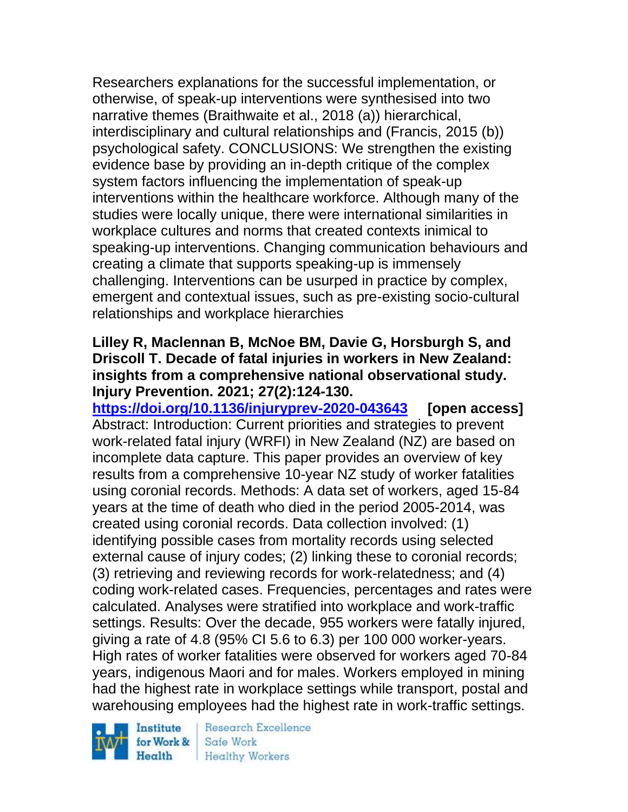Researchers explanations for the successful implementation, or otherwise, of speak-up interventions were synthesised into two narrative themes (Braithwaite et al., 2018 (a)) hierarchical, interdisciplinary and cultural relationships and (Francis, 2015 (b)) psychological safety. CONCLUSIONS: We strengthen the existing evidence base by providing an in-depth critique of the complex system factors influencing the implementation of speak-up interventions within the healthcare workforce. Although many of the studies were locally unique, there were international similarities in workplace cultures and norms that created contexts inimical to speaking-up interventions. Changing communication behaviours and creating a climate that supports speaking-up is immensely challenging. Interventions can be usurped in practice by complex, emergent and contextual issues, such as pre-existing socio-cultural relationships and workplace hierarchies

# **Lilley R, Maclennan B, McNoe BM, Davie G, Horsburgh S, and Driscoll T. Decade of fatal injuries in workers in New Zealand: insights from a comprehensive national observational study. Injury Prevention. 2021; 27(2):124-130.**

**<https://doi.org/10.1136/injuryprev-2020-043643> [open access]** Abstract: Introduction: Current priorities and strategies to prevent work-related fatal injury (WRFI) in New Zealand (NZ) are based on incomplete data capture. This paper provides an overview of key results from a comprehensive 10-year NZ study of worker fatalities using coronial records. Methods: A data set of workers, aged 15-84 years at the time of death who died in the period 2005-2014, was created using coronial records. Data collection involved: (1) identifying possible cases from mortality records using selected external cause of injury codes; (2) linking these to coronial records; (3) retrieving and reviewing records for work-relatedness; and (4) coding work-related cases. Frequencies, percentages and rates were calculated. Analyses were stratified into workplace and work-traffic settings. Results: Over the decade, 955 workers were fatally injured, giving a rate of 4.8 (95% CI 5.6 to 6.3) per 100 000 worker-years. High rates of worker fatalities were observed for workers aged 70-84 years, indigenous Maori and for males. Workers employed in mining had the highest rate in workplace settings while transport, postal and warehousing employees had the highest rate in work-traffic settings.



Research Excellence Safe Work Health Healthy Workers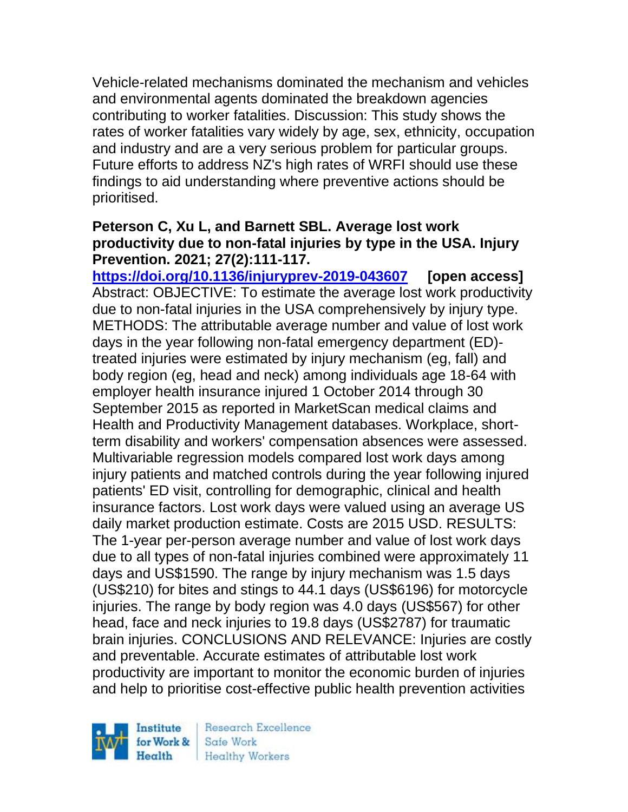Vehicle-related mechanisms dominated the mechanism and vehicles and environmental agents dominated the breakdown agencies contributing to worker fatalities. Discussion: This study shows the rates of worker fatalities vary widely by age, sex, ethnicity, occupation and industry and are a very serious problem for particular groups. Future efforts to address NZ's high rates of WRFI should use these findings to aid understanding where preventive actions should be prioritised.

## **Peterson C, Xu L, and Barnett SBL. Average lost work productivity due to non-fatal injuries by type in the USA. Injury Prevention. 2021; 27(2):111-117.**

**<https://doi.org/10.1136/injuryprev-2019-043607> [open access]** Abstract: OBJECTIVE: To estimate the average lost work productivity due to non-fatal injuries in the USA comprehensively by injury type. METHODS: The attributable average number and value of lost work days in the year following non-fatal emergency department (ED) treated injuries were estimated by injury mechanism (eg, fall) and body region (eg, head and neck) among individuals age 18-64 with employer health insurance injured 1 October 2014 through 30 September 2015 as reported in MarketScan medical claims and Health and Productivity Management databases. Workplace, shortterm disability and workers' compensation absences were assessed. Multivariable regression models compared lost work days among injury patients and matched controls during the year following injured patients' ED visit, controlling for demographic, clinical and health insurance factors. Lost work days were valued using an average US daily market production estimate. Costs are 2015 USD. RESULTS: The 1-year per-person average number and value of lost work days due to all types of non-fatal injuries combined were approximately 11 days and US\$1590. The range by injury mechanism was 1.5 days (US\$210) for bites and stings to 44.1 days (US\$6196) for motorcycle injuries. The range by body region was 4.0 days (US\$567) for other head, face and neck injuries to 19.8 days (US\$2787) for traumatic brain injuries. CONCLUSIONS AND RELEVANCE: Injuries are costly and preventable. Accurate estimates of attributable lost work productivity are important to monitor the economic burden of injuries and help to prioritise cost-effective public health prevention activities

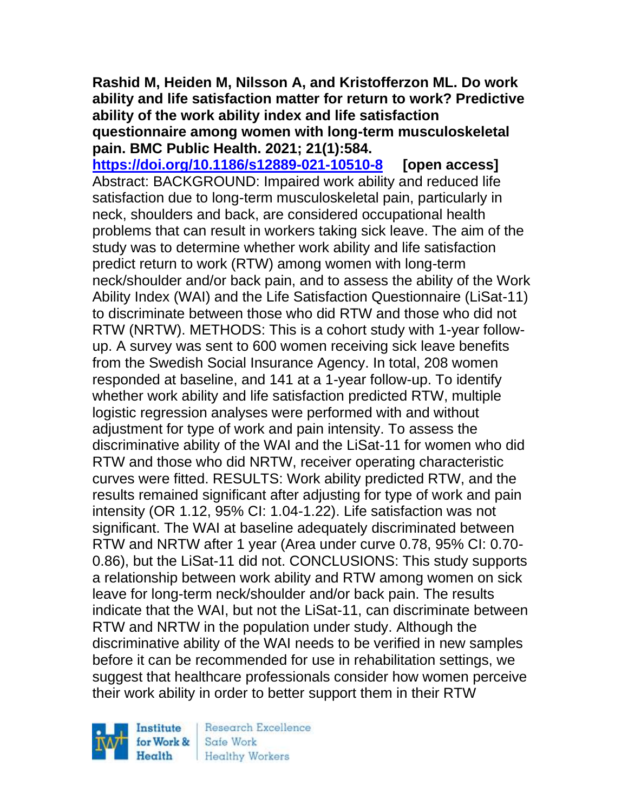### **Rashid M, Heiden M, Nilsson A, and Kristofferzon ML. Do work ability and life satisfaction matter for return to work? Predictive ability of the work ability index and life satisfaction questionnaire among women with long-term musculoskeletal pain. BMC Public Health. 2021; 21(1):584.**

**<https://doi.org/10.1186/s12889-021-10510-8> [open access]** Abstract: BACKGROUND: Impaired work ability and reduced life satisfaction due to long-term musculoskeletal pain, particularly in neck, shoulders and back, are considered occupational health problems that can result in workers taking sick leave. The aim of the study was to determine whether work ability and life satisfaction predict return to work (RTW) among women with long-term neck/shoulder and/or back pain, and to assess the ability of the Work Ability Index (WAI) and the Life Satisfaction Questionnaire (LiSat-11) to discriminate between those who did RTW and those who did not RTW (NRTW). METHODS: This is a cohort study with 1-year followup. A survey was sent to 600 women receiving sick leave benefits from the Swedish Social Insurance Agency. In total, 208 women responded at baseline, and 141 at a 1-year follow-up. To identify whether work ability and life satisfaction predicted RTW, multiple logistic regression analyses were performed with and without adjustment for type of work and pain intensity. To assess the discriminative ability of the WAI and the LiSat-11 for women who did RTW and those who did NRTW, receiver operating characteristic curves were fitted. RESULTS: Work ability predicted RTW, and the results remained significant after adjusting for type of work and pain intensity (OR 1.12, 95% CI: 1.04-1.22). Life satisfaction was not significant. The WAI at baseline adequately discriminated between RTW and NRTW after 1 year (Area under curve 0.78, 95% CI: 0.70- 0.86), but the LiSat-11 did not. CONCLUSIONS: This study supports a relationship between work ability and RTW among women on sick leave for long-term neck/shoulder and/or back pain. The results indicate that the WAI, but not the LiSat-11, can discriminate between RTW and NRTW in the population under study. Although the discriminative ability of the WAI needs to be verified in new samples before it can be recommended for use in rehabilitation settings, we suggest that healthcare professionals consider how women perceive their work ability in order to better support them in their RTW

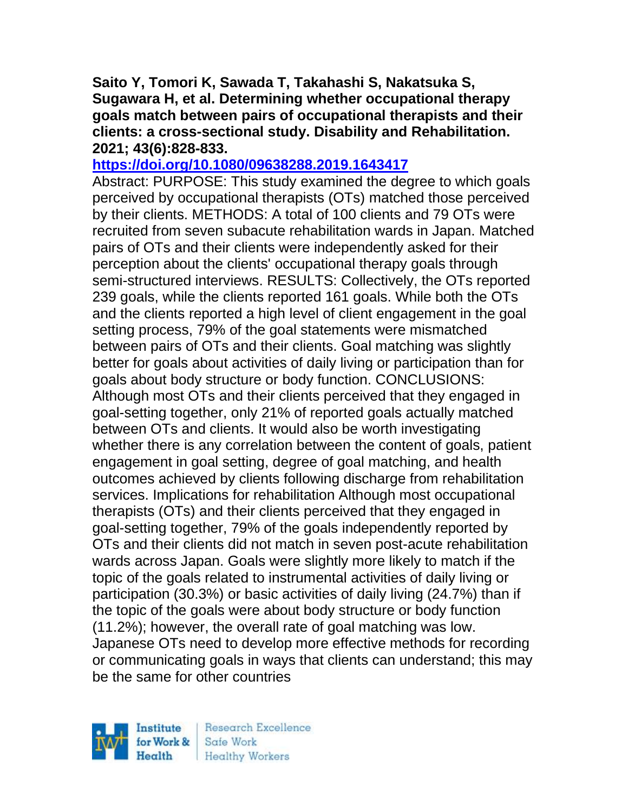**Saito Y, Tomori K, Sawada T, Takahashi S, Nakatsuka S, Sugawara H, et al. Determining whether occupational therapy goals match between pairs of occupational therapists and their clients: a cross-sectional study. Disability and Rehabilitation. 2021; 43(6):828-833.** 

### **<https://doi.org/10.1080/09638288.2019.1643417>**

Abstract: PURPOSE: This study examined the degree to which goals perceived by occupational therapists (OTs) matched those perceived by their clients. METHODS: A total of 100 clients and 79 OTs were recruited from seven subacute rehabilitation wards in Japan. Matched pairs of OTs and their clients were independently asked for their perception about the clients' occupational therapy goals through semi-structured interviews. RESULTS: Collectively, the OTs reported 239 goals, while the clients reported 161 goals. While both the OTs and the clients reported a high level of client engagement in the goal setting process, 79% of the goal statements were mismatched between pairs of OTs and their clients. Goal matching was slightly better for goals about activities of daily living or participation than for goals about body structure or body function. CONCLUSIONS: Although most OTs and their clients perceived that they engaged in goal-setting together, only 21% of reported goals actually matched between OTs and clients. It would also be worth investigating whether there is any correlation between the content of goals, patient engagement in goal setting, degree of goal matching, and health outcomes achieved by clients following discharge from rehabilitation services. Implications for rehabilitation Although most occupational therapists (OTs) and their clients perceived that they engaged in goal-setting together, 79% of the goals independently reported by OTs and their clients did not match in seven post-acute rehabilitation wards across Japan. Goals were slightly more likely to match if the topic of the goals related to instrumental activities of daily living or participation (30.3%) or basic activities of daily living (24.7%) than if the topic of the goals were about body structure or body function (11.2%); however, the overall rate of goal matching was low. Japanese OTs need to develop more effective methods for recording or communicating goals in ways that clients can understand; this may be the same for other countries

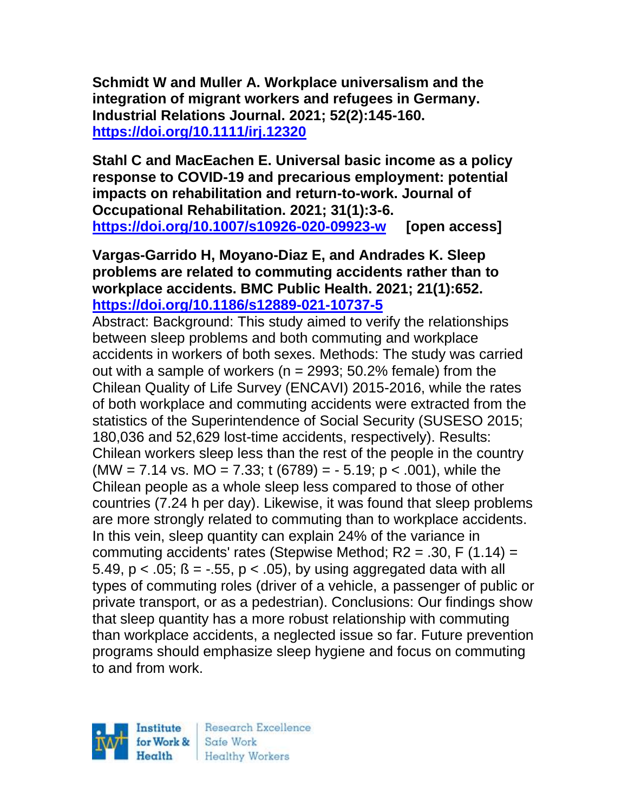**Schmidt W and Muller A. Workplace universalism and the integration of migrant workers and refugees in Germany. Industrial Relations Journal. 2021; 52(2):145-160. <https://doi.org/10.1111/irj.12320>** 

**Stahl C and MacEachen E. Universal basic income as a policy response to COVID-19 and precarious employment: potential impacts on rehabilitation and return-to-work. Journal of Occupational Rehabilitation. 2021; 31(1):3-6. <https://doi.org/10.1007/s10926-020-09923-w> [open access]**

**Vargas-Garrido H, Moyano-Diaz E, and Andrades K. Sleep problems are related to commuting accidents rather than to workplace accidents. BMC Public Health. 2021; 21(1):652. <https://doi.org/10.1186/s12889-021-10737-5>** 

Abstract: Background: This study aimed to verify the relationships between sleep problems and both commuting and workplace accidents in workers of both sexes. Methods: The study was carried out with a sample of workers ( $n = 2993$ ; 50.2% female) from the Chilean Quality of Life Survey (ENCAVI) 2015-2016, while the rates of both workplace and commuting accidents were extracted from the statistics of the Superintendence of Social Security (SUSESO 2015; 180,036 and 52,629 lost-time accidents, respectively). Results: Chilean workers sleep less than the rest of the people in the country  $(MW = 7.14$  vs. MO = 7.33; t (6789) = - 5.19; p < .001), while the Chilean people as a whole sleep less compared to those of other countries (7.24 h per day). Likewise, it was found that sleep problems are more strongly related to commuting than to workplace accidents. In this vein, sleep quantity can explain 24% of the variance in commuting accidents' rates (Stepwise Method;  $R2 = .30$ , F (1.14) = 5.49,  $p < 0.05$ ;  $\beta = -0.55$ ,  $p < 0.05$ ), by using aggregated data with all types of commuting roles (driver of a vehicle, a passenger of public or private transport, or as a pedestrian). Conclusions: Our findings show that sleep quantity has a more robust relationship with commuting than workplace accidents, a neglected issue so far. Future prevention programs should emphasize sleep hygiene and focus on commuting to and from work.